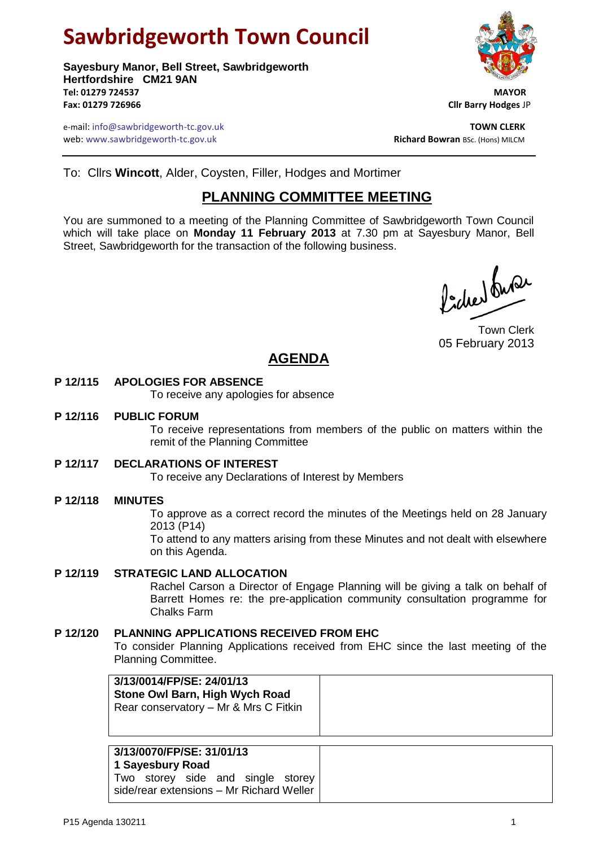# **Sawbridgeworth Town Council**

**Sayesbury Manor, Bell Street, Sawbridgeworth Hertfordshire CM21 9AN Tel: 01279 724537 MAYOR Fax: 01279 726966 Cllr Barry Hodges** JP

e-mail: info@sawbridgeworth-tc.gov.uk **TOWN CLERK** web: www.sawbridgeworth-tc.gov.uk<br> **Richard Bowran** BSc. (Hons) MILCM

To: Cllrs **Wincott**, Alder, Coysten, Filler, Hodges and Mortimer

# **PLANNING COMMITTEE MEETING**

You are summoned to a meeting of the Planning Committee of Sawbridgeworth Town Council which will take place on **Monday 11 February 2013** at 7.30 pm at Sayesbury Manor, Bell Street, Sawbridgeworth for the transaction of the following business.

fidee buse

Town Clerk 05 February 2013

# **AGENDA**

## **P 12/115 APOLOGIES FOR ABSENCE**

To receive any apologies for absence

#### **P 12/116 PUBLIC FORUM**

To receive representations from members of the public on matters within the remit of the Planning Committee

#### **P 12/117 DECLARATIONS OF INTEREST**

To receive any Declarations of Interest by Members

#### **P 12/118 MINUTES**

To approve as a correct record the minutes of the Meetings held on 28 January 2013 (P14)

To attend to any matters arising from these Minutes and not dealt with elsewhere on this Agenda.

#### **P 12/119 STRATEGIC LAND ALLOCATION**

Rachel Carson a Director of Engage Planning will be giving a talk on behalf of Barrett Homes re: the pre-application community consultation programme for Chalks Farm

#### **P 12/120 PLANNING APPLICATIONS RECEIVED FROM EHC**

To consider Planning Applications received from EHC since the last meeting of the Planning Committee.

| 3/13/0014/FP/SE: 24/01/13<br>Stone Owl Barn, High Wych Road<br>Rear conservatory - Mr & Mrs C Fitkin |  |
|------------------------------------------------------------------------------------------------------|--|
| . <i>.</i><br>-------                                                                                |  |

## **3/13/0070/FP/SE: 31/01/13**

**1 Sayesbury Road**

Two storey side and single storey side/rear extensions – Mr Richard Weller